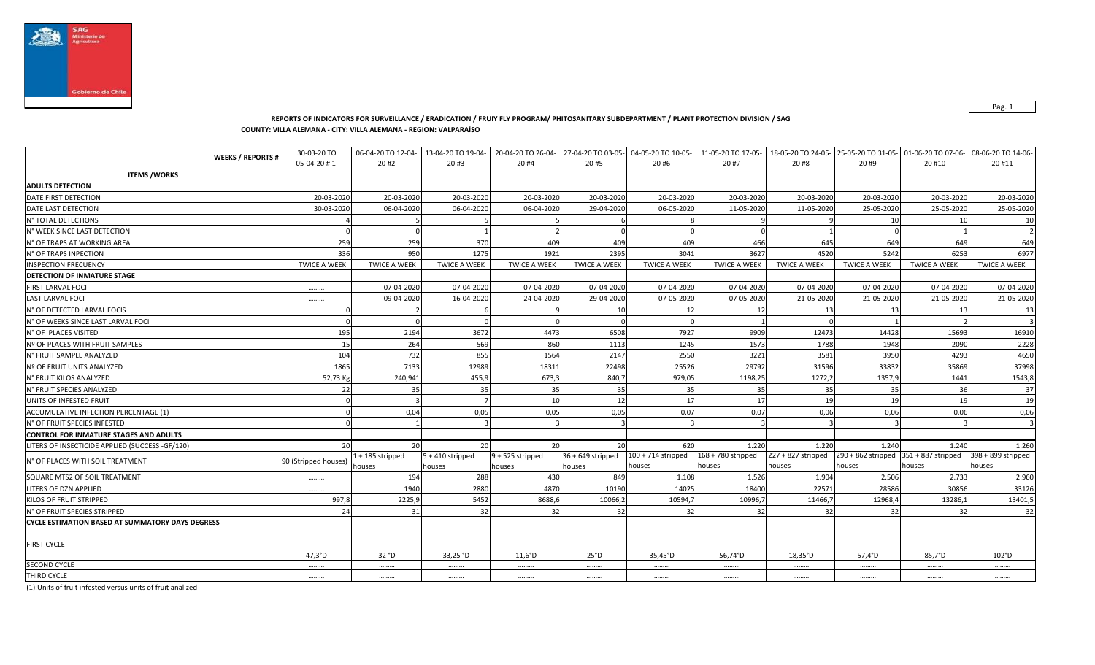

## **REPORTS OF INDICATORS FOR SURVEILLANCE / ERADICATION / FRUIY FLY PROGRAM/ PHITOSANITARY SUBDEPARTMENT / PLANT PROTECTION DIVISION / SAG**

Pag. 1

## **COUNTY: VILLA ALEMANA - CITY: VILLA ALEMANA - REGION: VALPARAÍSO**

| <b>WEEKS / REPORTS#</b>                                 | 30-03-20 TO<br>05-04-20 #1 | 20#2                       | 20#3                         | 20#4                         | 20#5                          | 20#6                           | 06-04-20 TO 12-04- 13-04-20 TO 19-04- 20-04-20 TO 26-04- 27-04-20 TO 03-05- 04-05-20 TO 10-05- 11-05-20 TO 17-05- 18-05-20 TO 24-05- 20 TO 31-05- 01-06-20 TO 07-06- 08-06-20 TO 14-06-<br>20#7 | 20#8                                                                     | 20#9                | 20 #10              | 20 #11                         |
|---------------------------------------------------------|----------------------------|----------------------------|------------------------------|------------------------------|-------------------------------|--------------------------------|-------------------------------------------------------------------------------------------------------------------------------------------------------------------------------------------------|--------------------------------------------------------------------------|---------------------|---------------------|--------------------------------|
| <b>ITEMS /WORKS</b>                                     |                            |                            |                              |                              |                               |                                |                                                                                                                                                                                                 |                                                                          |                     |                     |                                |
| <b>ADULTS DETECTION</b>                                 |                            |                            |                              |                              |                               |                                |                                                                                                                                                                                                 |                                                                          |                     |                     |                                |
| DATE FIRST DETECTION                                    | 20-03-2020                 | 20-03-2020                 | 20-03-2020                   | 20-03-2020                   | 20-03-2020                    | 20-03-2020                     | 20-03-2020                                                                                                                                                                                      | 20-03-2020                                                               | 20-03-2020          | 20-03-2020          | 20-03-2020                     |
| DATE LAST DETECTION                                     | 30-03-2020                 | 06-04-2020                 | 06-04-2020                   | 06-04-2020                   | 29-04-2020                    | 06-05-2020                     | 11-05-2020                                                                                                                                                                                      | 11-05-2020                                                               | 25-05-2020          | 25-05-2020          | 25-05-2020                     |
| N° TOTAL DETECTIONS                                     |                            |                            |                              |                              |                               |                                |                                                                                                                                                                                                 |                                                                          | 10                  | 10                  | 10                             |
| N° WEEK SINCE LAST DETECTION                            |                            |                            |                              |                              |                               |                                |                                                                                                                                                                                                 |                                                                          |                     |                     |                                |
| N° OF TRAPS AT WORKING AREA                             | 259                        | 259                        | 370                          | 409                          | 409                           | 409                            | 466                                                                                                                                                                                             | 645                                                                      | 649                 | 649                 | 649                            |
| N° OF TRAPS INPECTION                                   | 336                        | 950                        | 1275                         | 1921                         | 2395                          | 3041                           | 3627                                                                                                                                                                                            | 4520                                                                     | 5242                | 6253                | 6977                           |
| <b>INSPECTION FRECUENCY</b>                             | <b>TWICE A WEEK</b>        | <b>TWICE A WEEK</b>        | <b>TWICE A WEEK</b>          | <b>TWICE A WEEK</b>          | <b>TWICE A WEEK</b>           | <b>TWICE A WEEK</b>            | <b>TWICE A WEEK</b>                                                                                                                                                                             | <b>TWICE A WEEK</b>                                                      | <b>TWICE A WEEK</b> | <b>TWICE A WEEK</b> | <b>TWICE A WEEK</b>            |
| DETECTION OF INMATURE STAGE                             |                            |                            |                              |                              |                               |                                |                                                                                                                                                                                                 |                                                                          |                     |                     |                                |
| <b>FIRST LARVAL FOCI</b>                                |                            | 07-04-2020                 | 07-04-2020                   | 07-04-2020                   | 07-04-2020                    | 07-04-2020                     | 07-04-2020                                                                                                                                                                                      | 07-04-2020                                                               | 07-04-2020          | 07-04-2020          | 07-04-2020                     |
| <b>LAST LARVAL FOCI</b>                                 |                            | 09-04-2020                 | 16-04-2020                   | 24-04-2020                   | 29-04-2020                    | 07-05-2020                     | 07-05-2020                                                                                                                                                                                      | 21-05-2020                                                               | 21-05-2020          | 21-05-2020          | 21-05-2020                     |
| N° OF DETECTED LARVAL FOCIS                             |                            |                            |                              |                              | 10                            | 12                             | 12                                                                                                                                                                                              | 13                                                                       | 13                  | 13                  |                                |
| N° OF WEEKS SINCE LAST LARVAL FOCI                      |                            |                            |                              |                              |                               |                                |                                                                                                                                                                                                 |                                                                          |                     |                     |                                |
| N° OF PLACES VISITED                                    | 195                        | 2194                       | 3672                         | 4473                         | 6508                          | 7927                           | 9909                                                                                                                                                                                            | 12473                                                                    | 14428               | 15693               | 16910                          |
| Nº OF PLACES WITH FRUIT SAMPLES                         | 15                         | 264                        | 569                          | 860                          | 1113                          | 1245                           | 1573                                                                                                                                                                                            | 1788                                                                     | 1948                | 2090                | 2228                           |
| N° FRUIT SAMPLE ANALYZED                                | 104                        | 732                        | 855                          | 1564                         | 2147                          | 2550                           | 3221                                                                                                                                                                                            | 3581                                                                     | 3950                | 4293                | 4650                           |
| Nº OF FRUIT UNITS ANALYZED                              | 1865                       | 7133                       | 12989                        | 18311                        | 22498                         | 25526                          | 29792                                                                                                                                                                                           | 31596                                                                    | 33832               | 35869               | 37998                          |
| N° FRUIT KILOS ANALYZED                                 | 52,73 Kg                   | 240,941                    | 455,9                        | 673,3                        | 840,7                         | 979,05                         | 1198,25                                                                                                                                                                                         | 1272,2                                                                   | 1357,9              | 1441                | 1543,8                         |
| N° FRUIT SPECIES ANALYZED                               | 22                         | 35                         | 35                           | 35                           | 35                            | 35                             | 35                                                                                                                                                                                              | 35                                                                       | 35                  | 36                  | 37                             |
| UNITS OF INFESTED FRUIT                                 |                            |                            |                              | 10                           |                               | 17                             | 17                                                                                                                                                                                              | 19                                                                       | 19                  | 19                  | 19                             |
| ACCUMULATIVE INFECTION PERCENTAGE (1)                   |                            | 0,04                       | 0,05                         | 0,05                         | 0,05                          | 0,07                           | 0,07                                                                                                                                                                                            | 0,06                                                                     | 0,06                | 0.06                | 0,06                           |
| N° OF FRUIT SPECIES INFESTED                            |                            |                            |                              |                              |                               |                                |                                                                                                                                                                                                 |                                                                          |                     |                     |                                |
| <b>CONTROL FOR INMATURE STAGES AND ADULTS</b>           |                            |                            |                              |                              |                               |                                |                                                                                                                                                                                                 |                                                                          |                     |                     |                                |
| LITERS OF INSECTICIDE APPLIED (SUCCESS -GF/120)         | 20                         | 20                         | <b>20</b>                    | <b>20</b>                    | 20                            | 620                            | 1.220                                                                                                                                                                                           | 1.220                                                                    | 1.240               | 1.240               | 1.260                          |
| N° OF PLACES WITH SOIL TREATMENT                        | 90 (Stripped houses)       | 1 + 185 stripped<br>houses | $5 + 410$ stripped<br>houses | $9 + 525$ stripped<br>houses | $36 + 649$ stripped<br>houses | $100 + 714$ stripped<br>houses | 168 + 780 stripped<br>houses                                                                                                                                                                    | $227 + 827$ stripped $290 + 862$ stripped $351 + 887$ stripped<br>houses | houses              | houses              | $398 + 899$ stripped<br>houses |
| SQUARE MTS2 OF SOIL TREATMENT                           |                            | 194                        | 288                          | 430                          | 849                           | 1.108                          | 1.526                                                                                                                                                                                           | 1.904                                                                    | 2.506               | 2.733               | 2.960                          |
| LITERS OF DZN APPLIED                                   |                            | 1940                       | 2880                         | 4870                         | 10190                         | 14025                          | 18400                                                                                                                                                                                           | 22571                                                                    | 28586               | 30856               | 33126                          |
| KILOS OF FRUIT STRIPPED                                 | 997,8                      | 2225,9                     | 5452                         | 8688,6                       | 10066,2                       | 10594,7                        | 10996,7                                                                                                                                                                                         | 11466,7                                                                  | 12968,4             | 13286,1             | 13401,5                        |
| N° OF FRUIT SPECIES STRIPPED                            | 24                         | 31                         | 32                           | 32                           | 32                            | 32                             | 32                                                                                                                                                                                              | 32                                                                       | 32                  | 32                  | 32                             |
| <b>CYCLE ESTIMATION BASED AT SUMMATORY DAYS DEGRESS</b> |                            |                            |                              |                              |                               |                                |                                                                                                                                                                                                 |                                                                          |                     |                     |                                |
| <b>FIRST CYCLE</b>                                      | $47.3^{\circ}D$            | 32°D                       | 33,25 °D                     | 11,6°D                       | 25°D                          | 35,45°D                        | 56,74°D                                                                                                                                                                                         | $18,35^{\circ}D$                                                         | 57,4°D              | 85,7°D              | 102°D                          |
| <b>SECOND CYCLE</b>                                     |                            |                            |                              |                              |                               |                                |                                                                                                                                                                                                 |                                                                          |                     |                     |                                |
| THIRD CYCLE                                             |                            |                            |                              |                              |                               |                                |                                                                                                                                                                                                 |                                                                          |                     |                     |                                |

(1):Units of fruit infested versus units of fruit analized